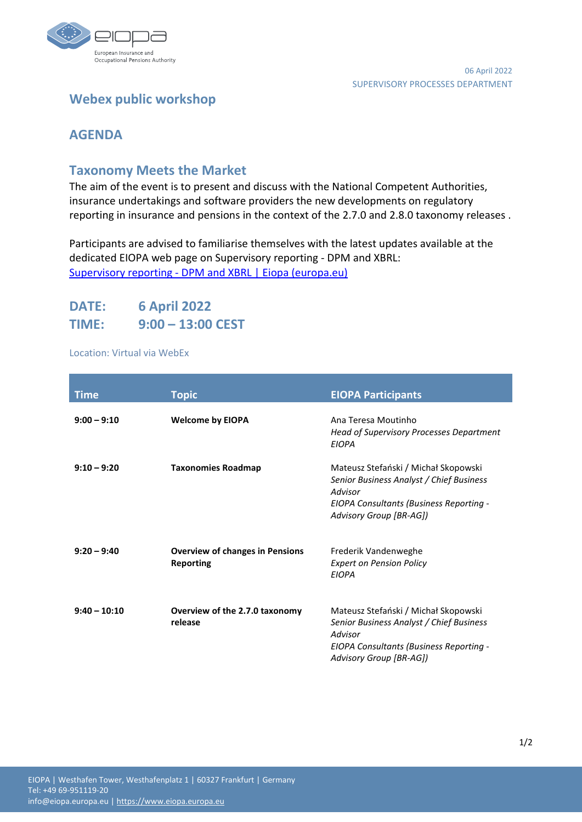

# **Webex public workshop**

## **AGENDA**

### **Taxonomy Meets the Market**

The aim of the event is to present and discuss with the National Competent Authorities, insurance undertakings and software providers the new developments on regulatory reporting in insurance and pensions in the context of the 2.7.0 and 2.8.0 taxonomy releases .

Participants are advised to familiarise themselves with the latest updates available at the dedicated EIOPA web page on Supervisory reporting - DPM and XBRL: Supervisory reporting - [DPM and XBRL | Eiopa \(europa.eu\)](https://www.eiopa.europa.eu/tools-and-data/supervisory-reporting-dpm-and-xbrl_en)

# **DATE: 6 April 2022 TIME: 9:00 – 13:00 CEST**

#### Location: Virtual via WebEx

| <b>Time</b>    | <b>Topic</b>                                               | <b>EIOPA Participants</b>                                                                                                                                         |
|----------------|------------------------------------------------------------|-------------------------------------------------------------------------------------------------------------------------------------------------------------------|
| $9:00 - 9:10$  | <b>Welcome by EIOPA</b>                                    | Ana Teresa Moutinho<br><b>Head of Supervisory Processes Department</b><br><b>EIOPA</b>                                                                            |
| $9:10 - 9:20$  | <b>Taxonomies Roadmap</b>                                  | Mateusz Stefański / Michał Skopowski<br>Senior Business Analyst / Chief Business<br>Advisor<br>EIOPA Consultants (Business Reporting -<br>Advisory Group [BR-AG]) |
| $9:20 - 9:40$  | <b>Overview of changes in Pensions</b><br><b>Reporting</b> | Frederik Vandenweghe<br><b>Expert on Pension Policy</b><br><b>EIOPA</b>                                                                                           |
| $9:40 - 10:10$ | Overview of the 2.7.0 taxonomy<br>release                  | Mateusz Stefański / Michał Skopowski<br>Senior Business Analyst / Chief Business<br>Advisor<br>EIOPA Consultants (Business Reporting -<br>Advisory Group [BR-AG]) |